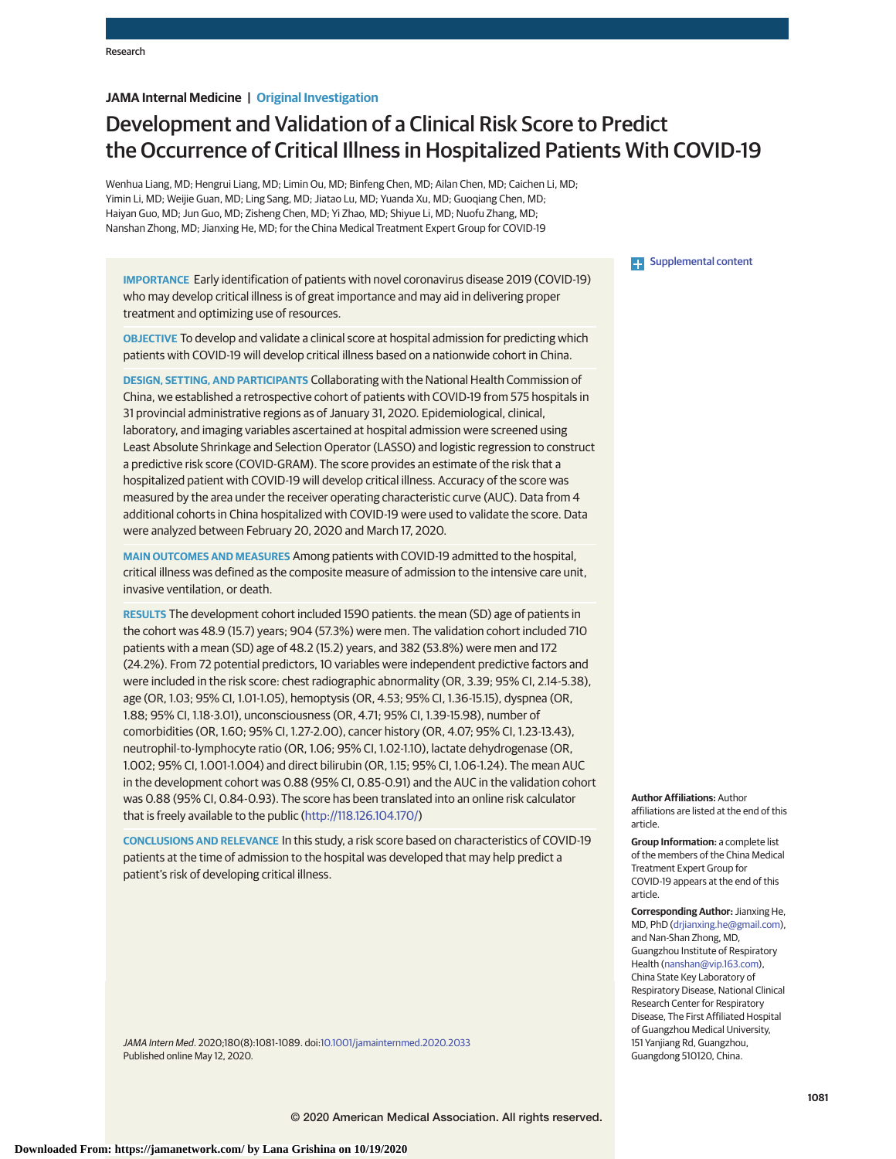# **JAMA Internal Medicine | Original Investigation**

# Development and Validation of a Clinical Risk Score to Predict the Occurrence of Critical Illness in Hospitalized Patients With COVID-19

Wenhua Liang, MD; Hengrui Liang, MD; Limin Ou, MD; Binfeng Chen, MD; Ailan Chen, MD; Caichen Li, MD; Yimin Li, MD; Weijie Guan, MD; Ling Sang, MD; Jiatao Lu, MD; Yuanda Xu, MD; Guoqiang Chen, MD; Haiyan Guo, MD; Jun Guo, MD; Zisheng Chen, MD; Yi Zhao, MD; Shiyue Li, MD; Nuofu Zhang, MD; Nanshan Zhong, MD; Jianxing He, MD; for the China Medical Treatment Expert Group for COVID-19

**IMPORTANCE** Early identification of patients with novel coronavirus disease 2019 (COVID-19) who may develop critical illness is of great importance and may aid in delivering proper treatment and optimizing use of resources.

**OBJECTIVE** To develop and validate a clinical score at hospital admission for predicting which patients with COVID-19 will develop critical illness based on a nationwide cohort in China.

**DESIGN, SETTING, AND PARTICIPANTS** Collaborating with the National Health Commission of China, we established a retrospective cohort of patients with COVID-19 from 575 hospitals in 31 provincial administrative regions as of January 31, 2020. Epidemiological, clinical, laboratory, and imaging variables ascertained at hospital admission were screened using Least Absolute Shrinkage and Selection Operator (LASSO) and logistic regression to construct a predictive risk score (COVID-GRAM). The score provides an estimate of the risk that a hospitalized patient with COVID-19 will develop critical illness. Accuracy of the score was measured by the area under the receiver operating characteristic curve (AUC). Data from 4 additional cohorts in China hospitalized with COVID-19 were used to validate the score. Data were analyzed between February 20, 2020 and March 17, 2020.

**MAIN OUTCOMES AND MEASURES** Among patients with COVID-19 admitted to the hospital, critical illness was defined as the composite measure of admission to the intensive care unit, invasive ventilation, or death.

**RESULTS** The development cohort included 1590 patients. the mean (SD) age of patients in the cohort was 48.9 (15.7) years; 904 (57.3%) were men. The validation cohort included 710 patients with a mean (SD) age of 48.2 (15.2) years, and 382 (53.8%) were men and 172 (24.2%). From 72 potential predictors, 10 variables were independent predictive factors and were included in the risk score: chest radiographic abnormality (OR, 3.39; 95% CI, 2.14-5.38), age (OR, 1.03; 95% CI, 1.01-1.05), hemoptysis (OR, 4.53; 95% CI, 1.36-15.15), dyspnea (OR, 1.88; 95% CI, 1.18-3.01), unconsciousness (OR, 4.71; 95% CI, 1.39-15.98), number of comorbidities (OR, 1.60; 95% CI, 1.27-2.00), cancer history (OR, 4.07; 95% CI, 1.23-13.43), neutrophil-to-lymphocyte ratio (OR, 1.06; 95% CI, 1.02-1.10), lactate dehydrogenase (OR, 1.002; 95% CI, 1.001-1.004) and direct bilirubin (OR, 1.15; 95% CI, 1.06-1.24). The mean AUC in the development cohort was 0.88 (95% CI, 0.85-0.91) and the AUC in the validation cohort was 0.88 (95% CI, 0.84-0.93). The score has been translated into an online risk calculator that is freely available to the public [\(http://118.126.104.170/\)](http://118.126.104.170/)

**CONCLUSIONS AND RELEVANCE** In this study, a risk score based on characteristics of COVID-19 patients at the time of admission to the hospital was developed that may help predict a patient's risk of developing critical illness.

JAMA Intern Med. 2020;180(8):1081-1089. doi[:10.1001/jamainternmed.2020.2033](https://jamanetwork.com/journals/jama/fullarticle/10.1001/jamainternmed.2020.2033?utm_campaign=articlePDF%26utm_medium=articlePDFlink%26utm_source=articlePDF%26utm_content=jamainternmed.2020.2033) Published online May 12, 2020.

**Examplemental content** 

**Author Affiliations:** Author affiliations are listed at the end of this article.

**Group Information:** a complete list of the members of the China Medical Treatment Expert Group for COVID-19 appears at the end of this article.

**Corresponding Author:** Jianxing He, MD, PhD [\(drjianxing.he@gmail.com\)](mailto:drjianxing.he@gmail.com), and Nan-Shan Zhong, MD, Guangzhou Institute of Respiratory Health [\(nanshan@vip.163.com\)](mailto:nanshan@vip.163.com), China State Key Laboratory of Respiratory Disease, National Clinical Research Center for Respiratory Disease, The First Affiliated Hospital of Guangzhou Medical University, 151 Yanjiang Rd, Guangzhou, Guangdong 510120, China.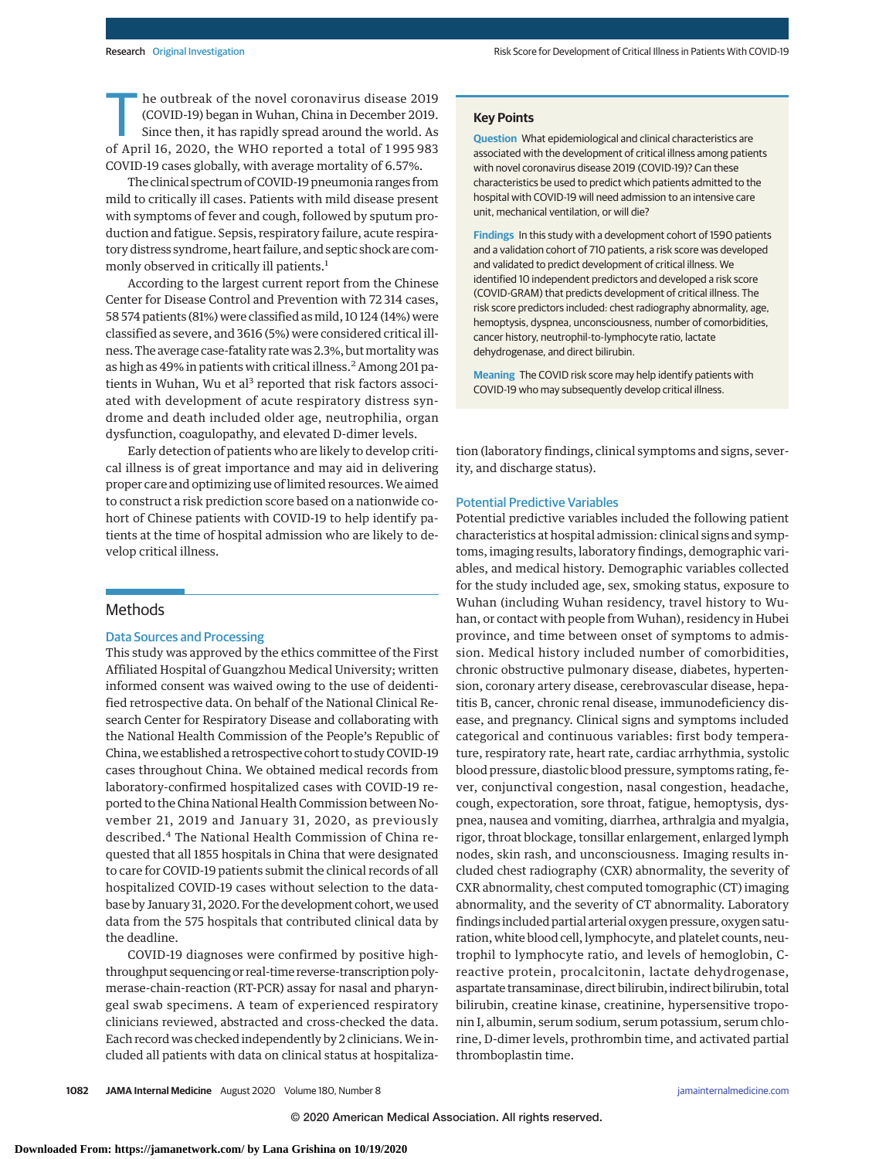he outbreak of the novel coronavirus disease 2019 (COVID-19) began in Wuhan, China in December 2019. Since then, it has rapidly spread around the world. As of April 16, 2020, the WHO reported a total of 1 995 983 COVID-19 cases globally, with average mortality of 6.57%.

The clinical spectrum of COVID-19 pneumonia ranges from mild to critically ill cases. Patients with mild disease present with symptoms of fever and cough, followed by sputum production and fatigue. Sepsis, respiratory failure, acute respiratory distress syndrome, heart failure, and septic shock are commonly observed in critically ill patients.<sup>1</sup>

According to the largest current report from the Chinese Center for Disease Control and Prevention with 72 314 cases, 58 574 patients (81%) were classified asmild, 10 124 (14%) were classified as severe, and 3616 (5%) were considered critical illness. The average case-fatality rate was 2.3%, but mortality was as high as 49% in patients with critical illness.<sup>2</sup> Among 201 patients in Wuhan, Wu et al<sup>3</sup> reported that risk factors associated with development of acute respiratory distress syndrome and death included older age, neutrophilia, organ dysfunction, coagulopathy, and elevated D-dimer levels.

Early detection of patients who are likely to develop critical illness is of great importance and may aid in delivering proper care and optimizing use of limited resources.We aimed to construct a risk prediction score based on a nationwide cohort of Chinese patients with COVID-19 to help identify patients at the time of hospital admission who are likely to develop critical illness.

# **Methods**

### Data Sources and Processing

This study was approved by the ethics committee of the First Affiliated Hospital of Guangzhou Medical University; written informed consent was waived owing to the use of deidentified retrospective data. On behalf of the National Clinical Research Center for Respiratory Disease and collaborating with the National Health Commission of the People's Republic of China, we established a retrospective cohort to study COVID-19 cases throughout China. We obtained medical records from laboratory-confirmed hospitalized cases with COVID-19 reported to the China National Health Commission between November 21, 2019 and January 31, 2020, as previously described.<sup>4</sup> The National Health Commission of China requested that all 1855 hospitals in China that were designated to care for COVID-19 patients submit the clinical records of all hospitalized COVID-19 cases without selection to the database by January 31, 2020. For the development cohort, we used data from the 575 hospitals that contributed clinical data by the deadline.

COVID-19 diagnoses were confirmed by positive highthroughput sequencing or real-time reverse-transcription polymerase-chain-reaction (RT-PCR) assay for nasal and pharyngeal swab specimens. A team of experienced respiratory clinicians reviewed, abstracted and cross-checked the data. Each record was checked independently by 2 clinicians.We included all patients with data on clinical status at hospitaliza-

#### **Key Points**

**Question** What epidemiological and clinical characteristics are associated with the development of critical illness among patients with novel coronavirus disease 2019 (COVID-19)? Can these characteristics be used to predict which patients admitted to the hospital with COVID-19 will need admission to an intensive care unit, mechanical ventilation, or will die?

**Findings** In this study with a development cohort of 1590 patients and a validation cohort of 710 patients, a risk score was developed and validated to predict development of critical illness. We identified 10 independent predictors and developed a risk score (COVID-GRAM) that predicts development of critical illness. The risk score predictors included: chest radiography abnormality, age, hemoptysis, dyspnea, unconsciousness, number of comorbidities, cancer history, neutrophil-to-lymphocyte ratio, lactate dehydrogenase, and direct bilirubin.

**Meaning** The COVID risk score may help identify patients with COVID-19 who may subsequently develop critical illness.

tion (laboratory findings, clinical symptoms and signs, severity, and discharge status).

## Potential Predictive Variables

Potential predictive variables included the following patient characteristics at hospital admission: clinical signs and symptoms, imaging results, laboratory findings, demographic variables, and medical history. Demographic variables collected for the study included age, sex, smoking status, exposure to Wuhan (including Wuhan residency, travel history to Wuhan, or contact with people from Wuhan), residency in Hubei province, and time between onset of symptoms to admission. Medical history included number of comorbidities, chronic obstructive pulmonary disease, diabetes, hypertension, coronary artery disease, cerebrovascular disease, hepatitis B, cancer, chronic renal disease, immunodeficiency disease, and pregnancy. Clinical signs and symptoms included categorical and continuous variables: first body temperature, respiratory rate, heart rate, cardiac arrhythmia, systolic blood pressure, diastolic blood pressure, symptoms rating, fever, conjunctival congestion, nasal congestion, headache, cough, expectoration, sore throat, fatigue, hemoptysis, dyspnea, nausea and vomiting, diarrhea, arthralgia and myalgia, rigor, throat blockage, tonsillar enlargement, enlarged lymph nodes, skin rash, and unconsciousness. Imaging results included chest radiography (CXR) abnormality, the severity of CXR abnormality, chest computed tomographic (CT) imaging abnormality, and the severity of CT abnormality. Laboratory findings included partial arterial oxygen pressure, oxygen saturation, white blood cell, lymphocyte, and platelet counts, neutrophil to lymphocyte ratio, and levels of hemoglobin, Creactive protein, procalcitonin, lactate dehydrogenase, aspartate transaminase, direct bilirubin, indirect bilirubin, total bilirubin, creatine kinase, creatinine, hypersensitive troponin I, albumin, serum sodium, serum potassium, serum chlorine, D-dimer levels, prothrombin time, and activated partial thromboplastin time.

**1082 JAMA Internal Medicine** August 2020 Volume 180, Number 8 **(Reprinted)** and *Reprinted and a structure compare in the structure compare in the structure compare in the structure compare in the structure compare in the*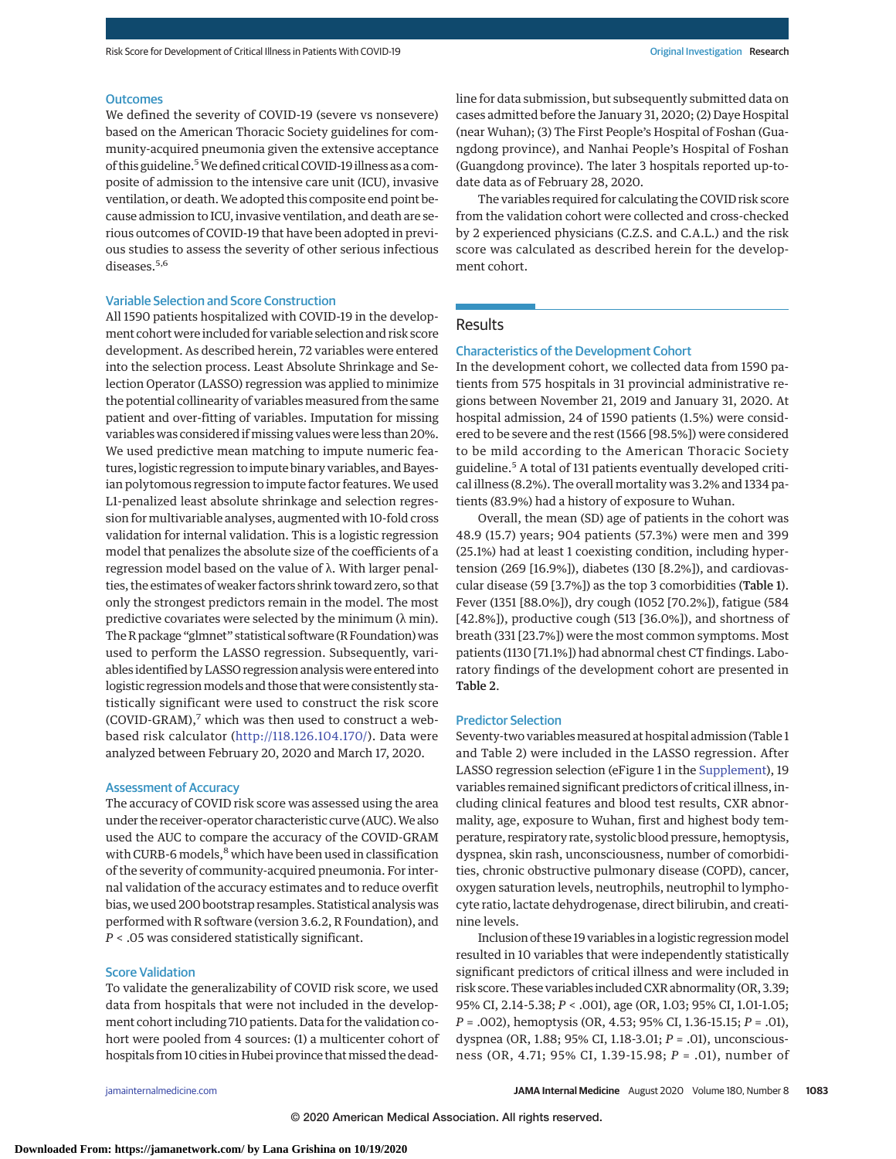#### **Outcomes**

We defined the severity of COVID-19 (severe vs nonsevere) based on the American Thoracic Society guidelines for community-acquired pneumonia given the extensive acceptance of this guideline.5We defined critical COVID-19 illness as a composite of admission to the intensive care unit (ICU), invasive ventilation, or death.We adopted this composite end point because admission to ICU, invasive ventilation, and death are serious outcomes of COVID-19 that have been adopted in previous studies to assess the severity of other serious infectious diseases.<sup>5,6</sup>

#### Variable Selection and Score Construction

All 1590 patients hospitalized with COVID-19 in the development cohort were included for variable selection and risk score development. As described herein, 72 variables were entered into the selection process. Least Absolute Shrinkage and Selection Operator (LASSO) regression was applied to minimize the potential collinearity of variables measured from the same patient and over-fitting of variables. Imputation for missing variables was considered if missing values were less than 20%. We used predictive mean matching to impute numeric features, logistic regression to impute binary variables, and Bayesian polytomous regression to impute factor features. We used L1-penalized least absolute shrinkage and selection regression for multivariable analyses, augmented with 10-fold cross validation for internal validation. This is a logistic regression model that penalizes the absolute size of the coefficients of a regression model based on the value of λ. With larger penalties, the estimates of weaker factors shrink toward zero, so that only the strongest predictors remain in the model. The most predictive covariates were selected by the minimum ( $\lambda$  min). The R package "glmnet" statistical software (R Foundation) was used to perform the LASSO regression. Subsequently, variables identified by LASSO regression analysis were entered into logistic regression models and those that were consistently statistically significant were used to construct the risk score  $(CovID\text{-}GRAM)$ ,<sup>7</sup> which was then used to construct a webbased risk calculator [\(http://118.126.104.170/\)](http://118.126.104.170/). Data were analyzed between February 20, 2020 and March 17, 2020.

## Assessment of Accuracy

The accuracy of COVID risk score was assessed using the area under the receiver-operator characteristic curve (AUC). We also used the AUC to compare the accuracy of the COVID-GRAM with CURB-6 models,<sup>8</sup> which have been used in classification of the severity of community-acquired pneumonia. For internal validation of the accuracy estimates and to reduce overfit bias, we used 200 bootstrap resamples. Statistical analysis was performed with R software (version 3.6.2, R Foundation), and *P* < .05 was considered statistically significant.

#### Score Validation

To validate the generalizability of COVID risk score, we used data from hospitals that were not included in the development cohort including 710 patients. Data for the validation cohort were pooled from 4 sources: (1) a multicenter cohort of hospitals from 10 cities in Hubei province that missed the deadline for data submission, but subsequently submitted data on cases admitted before the January 31, 2020; (2) Daye Hospital (near Wuhan); (3) The First People's Hospital of Foshan (Guangdong province), and Nanhai People's Hospital of Foshan (Guangdong province). The later 3 hospitals reported up-todate data as of February 28, 2020.

The variables required for calculating the COVID risk score from the validation cohort were collected and cross-checked by 2 experienced physicians (C.Z.S. and C.A.L.) and the risk score was calculated as described herein for the development cohort.

# Results

#### Characteristics of the Development Cohort

In the development cohort, we collected data from 1590 patients from 575 hospitals in 31 provincial administrative regions between November 21, 2019 and January 31, 2020. At hospital admission, 24 of 1590 patients (1.5%) were considered to be severe and the rest (1566 [98.5%]) were considered to be mild according to the American Thoracic Society guideline.<sup>5</sup> A total of 131 patients eventually developed critical illness (8.2%). The overall mortality was 3.2% and 1334 patients (83.9%) had a history of exposure to Wuhan.

Overall, the mean (SD) age of patients in the cohort was 48.9 (15.7) years; 904 patients (57.3%) were men and 399 (25.1%) had at least 1 coexisting condition, including hypertension (269 [16.9%]), diabetes (130 [8.2%]), and cardiovascular disease (59 [3.7%]) as the top 3 comorbidities (Table 1). Fever (1351 [88.0%]), dry cough (1052 [70.2%]), fatigue (584 [42.8%]), productive cough (513 [36.0%]), and shortness of breath (331 [23.7%]) were the most common symptoms. Most patients (1130 [71.1%]) had abnormal chest CT findings. Laboratory findings of the development cohort are presented in Table 2.

#### Predictor Selection

Seventy-two variables measured at hospital admission (Table 1 and Table 2) were included in the LASSO regression. After LASSO regression selection (eFigure 1 in the [Supplement\)](https://jamanetwork.com/journals/jama/fullarticle/10.1001/jamainternmed.2020.2033?utm_campaign=articlePDF%26utm_medium=articlePDFlink%26utm_source=articlePDF%26utm_content=jamainternmed.2020.2033), 19 variables remained significant predictors of critical illness, including clinical features and blood test results, CXR abnormality, age, exposure to Wuhan, first and highest body temperature, respiratory rate, systolic blood pressure, hemoptysis, dyspnea, skin rash, unconsciousness, number of comorbidities, chronic obstructive pulmonary disease (COPD), cancer, oxygen saturation levels, neutrophils, neutrophil to lymphocyte ratio, lactate dehydrogenase, direct bilirubin, and creatinine levels.

Inclusion of these 19 variables in a logistic regression model resulted in 10 variables that were independently statistically significant predictors of critical illness and were included in risk score. These variables included CXR abnormality (OR, 3.39; 95% CI, 2.14-5.38; *P* < .001), age (OR, 1.03; 95% CI, 1.01-1.05; *P* = .002), hemoptysis (OR, 4.53; 95% CI, 1.36-15.15; *P* = .01), dyspnea (OR, 1.88; 95% CI, 1.18-3.01; *P* = .01), unconsciousness (OR, 4.71; 95% CI, 1.39-15.98; *P* = .01), number of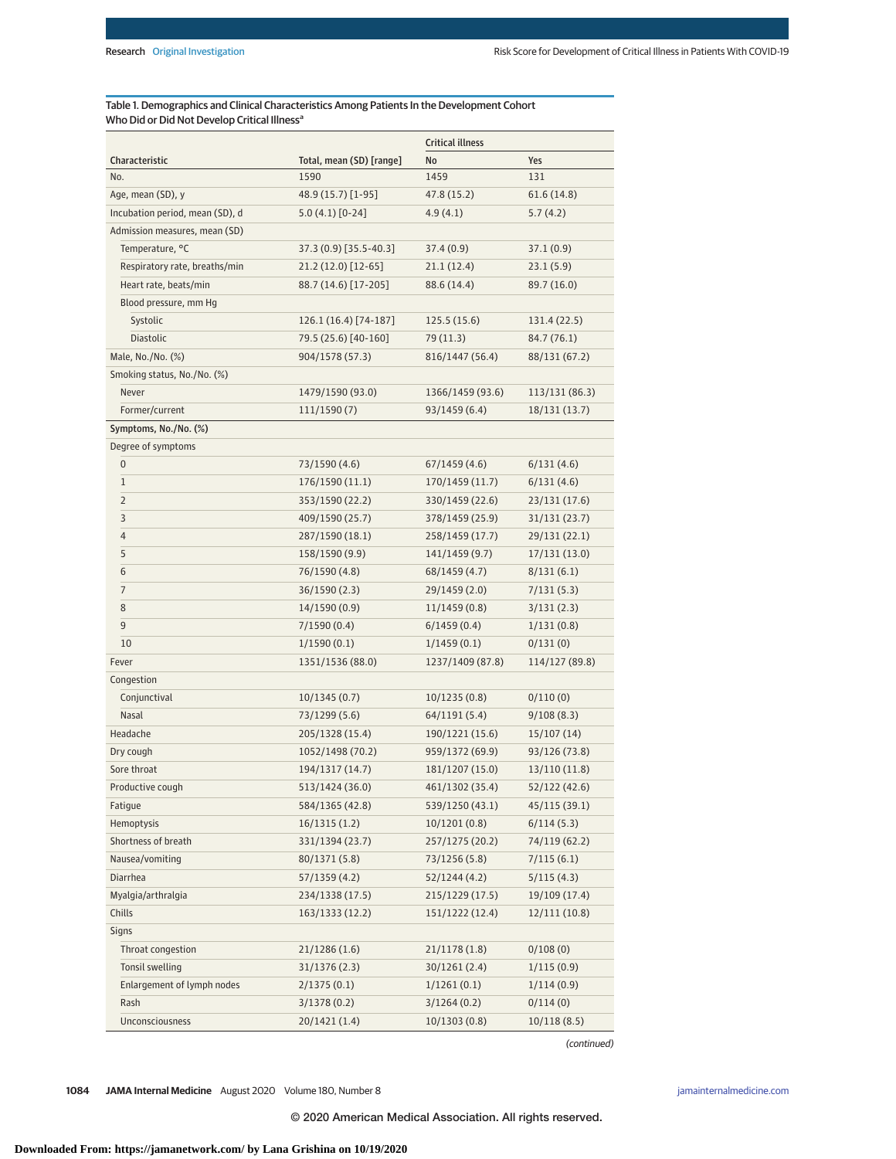Table 1. Demographics and Clinical Characteristics Among Patients In the Development Cohort Who Did or Did Not Develop Critical Illness<sup>a</sup>

|                                 |                          | <b>Critical illness</b> |                |
|---------------------------------|--------------------------|-------------------------|----------------|
| Characteristic                  | Total, mean (SD) [range] | No                      | Yes            |
| No.                             | 1590                     | 1459                    | 131            |
| Age, mean (SD), y               | 48.9 (15.7) [1-95]       | 47.8 (15.2)             | 61.6 (14.8)    |
| Incubation period, mean (SD), d | $5.0(4.1)[0-24]$         | 4.9(4.1)                | 5.7(4.2)       |
| Admission measures, mean (SD)   |                          |                         |                |
| Temperature, °C                 | 37.3 (0.9) [35.5-40.3]   | 37.4 (0.9)              | 37.1 (0.9)     |
| Respiratory rate, breaths/min   | 21.2 (12.0) [12-65]      | 21.1(12.4)              | 23.1(5.9)      |
| Heart rate, beats/min           | 88.7 (14.6) [17-205]     | 88.6 (14.4)             | 89.7 (16.0)    |
| Blood pressure, mm Hg           |                          |                         |                |
| Systolic                        | 126.1 (16.4) [74-187]    | 125.5 (15.6)            | 131.4 (22.5)   |
| Diastolic                       | 79.5 (25.6) [40-160]     | 79 (11.3)               | 84.7 (76.1)    |
| Male, No./No. (%)               | 904/1578 (57.3)          | 816/1447 (56.4)         | 88/131 (67.2)  |
| Smoking status, No./No. (%)     |                          |                         |                |
| Never                           | 1479/1590 (93.0)         | 1366/1459 (93.6)        | 113/131 (86.3) |
| Former/current                  | 111/1590(7)              | 93/1459 (6.4)           | 18/131 (13.7)  |
| Symptoms, No./No. (%)           |                          |                         |                |
| Degree of symptoms              |                          |                         |                |
| 0                               | 73/1590 (4.6)            | 67/1459(4.6)            | 6/131(4.6)     |
| $\mathbf{1}$                    | 176/1590 (11.1)          | 170/1459 (11.7)         | 6/131(4.6)     |
| 2                               | 353/1590 (22.2)          | 330/1459 (22.6)         | 23/131 (17.6)  |
| 3                               | 409/1590 (25.7)          | 378/1459 (25.9)         | 31/131 (23.7)  |
| 4                               | 287/1590 (18.1)          | 258/1459 (17.7)         | 29/131 (22.1)  |
| 5                               | 158/1590 (9.9)           | 141/1459 (9.7)          | 17/131 (13.0)  |
| 6                               | 76/1590 (4.8)            | 68/1459 (4.7)           | 8/131(6.1)     |
| 7                               | 36/1590 (2.3)            | 29/1459 (2.0)           | 7/131 (5.3)    |
| 8                               | 14/1590 (0.9)            | 11/1459 (0.8)           | 3/131 (2.3)    |
| 9                               | 7/1590 (0.4)             | 6/1459(0.4)             | 1/131(0.8)     |
| 10                              | 1/1590(0.1)              | 1/1459(0.1)             | 0/131(0)       |
| Fever                           | 1351/1536 (88.0)         | 1237/1409 (87.8)        | 114/127 (89.8) |
| Congestion                      |                          |                         |                |
| Conjunctival                    | 10/1345(0.7)             | 10/1235 (0.8)           | 0/110(0)       |
| Nasal                           | 73/1299 (5.6)            | 64/1191 (5.4)           | 9/108(8.3)     |
| Headache                        | 205/1328 (15.4)          | 190/1221 (15.6)         | 15/107 (14)    |
| Dry cough                       | 1052/1498 (70.2)         | 959/1372 (69.9)         | 93/126 (73.8)  |
| Sore throat                     | 194/1317 (14.7)          | 181/1207 (15.0)         | 13/110 (11.8)  |
| Productive cough                | 513/1424 (36.0)          | 461/1302 (35.4)         | 52/122 (42.6)  |
| Fatigue                         | 584/1365 (42.8)          | 539/1250 (43.1)         | 45/115 (39.1)  |
| Hemoptysis                      | 16/1315(1.2)             | 10/1201 (0.8)           | 6/114(5.3)     |
| Shortness of breath             | 331/1394 (23.7)          | 257/1275 (20.2)         | 74/119 (62.2)  |
| Nausea/vomiting                 | 80/1371 (5.8)            | 73/1256 (5.8)           | 7/115(6.1)     |
| Diarrhea                        | 57/1359 (4.2)            | 52/1244 (4.2)           | 5/115(4.3)     |
| Myalgia/arthralgia              | 234/1338 (17.5)          | 215/1229 (17.5)         | 19/109 (17.4)  |
| Chills                          | 163/1333 (12.2)          | 151/1222 (12.4)         | 12/111 (10.8)  |
| Signs                           |                          |                         |                |
| Throat congestion               | 21/1286 (1.6)            | 21/1178 (1.8)           | 0/108(0)       |
| <b>Tonsil swelling</b>          | 31/1376 (2.3)            | 30/1261 (2.4)           | 1/115(0.9)     |
| Enlargement of lymph nodes      | 2/1375(0.1)              | 1/1261(0.1)             | 1/114(0.9)     |
| Rash                            | 3/1378(0.2)              | 3/1264(0.2)             | 0/114(0)       |
| Unconsciousness                 | 20/1421 (1.4)            | 10/1303(0.8)            | 10/118(8.5)    |

(continued)

**1084 JAMA Internal Medicine** August 2020 Volume 180, Number 8 **(Reprinted)** [jamainternalmedicine.com](http://www.jamainternalmedicine.com?utm_campaign=articlePDF%26utm_medium=articlePDFlink%26utm_source=articlePDF%26utm_content=jamainternmed.2020.2033)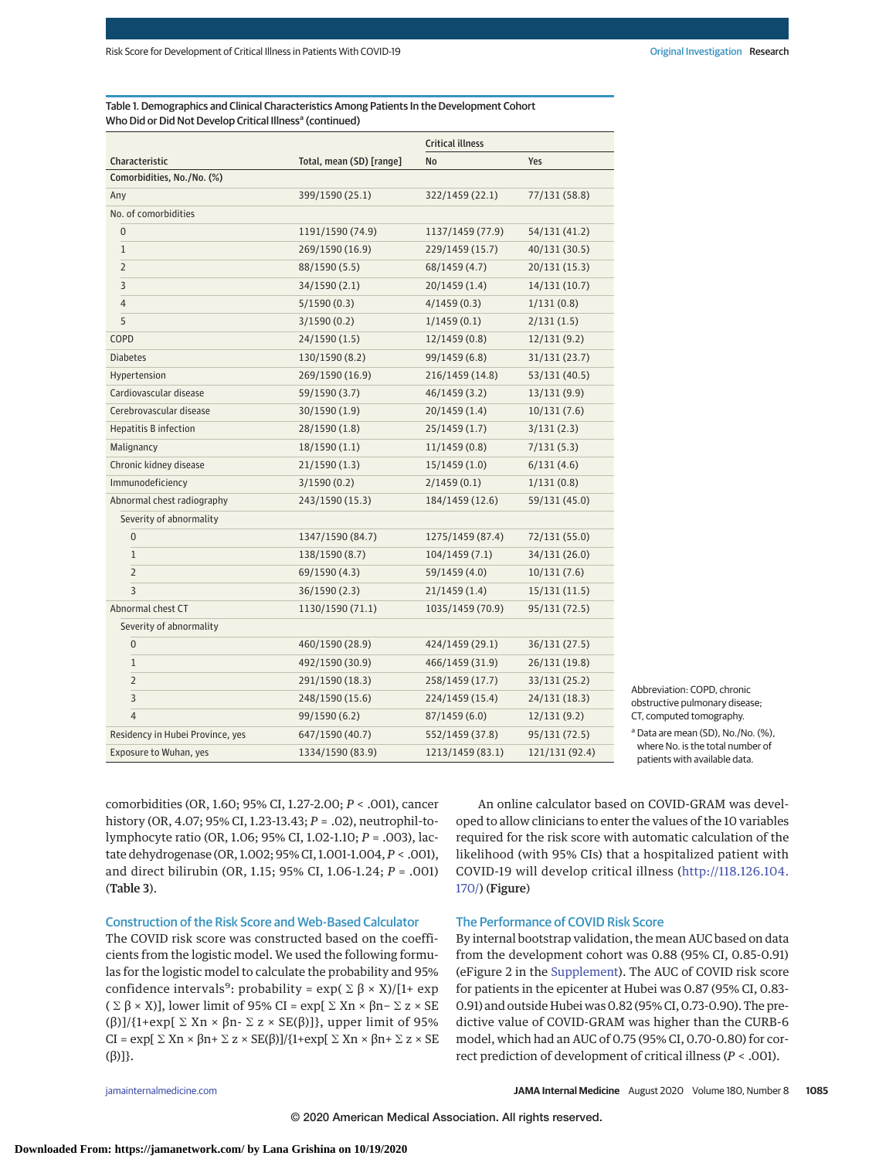#### Table 1. Demographics and Clinical Characteristics Among Patients In the Development Cohort Who Did or Did Not Develop Critical Illness<sup>a</sup> (continued)

|                                  |                          | <b>Critical illness</b> |                |
|----------------------------------|--------------------------|-------------------------|----------------|
| Characteristic                   | Total, mean (SD) [range] | <b>No</b>               | Yes            |
| Comorbidities, No./No. (%)       |                          |                         |                |
| Any                              | 399/1590 (25.1)          | 322/1459 (22.1)         | 77/131 (58.8)  |
| No. of comorbidities             |                          |                         |                |
| $\overline{0}$                   | 1191/1590 (74.9)         | 1137/1459 (77.9)        | 54/131 (41.2)  |
| $\mathbf{1}$                     | 269/1590 (16.9)          | 229/1459 (15.7)         | 40/131 (30.5)  |
| 2                                | 88/1590 (5.5)            | 68/1459 (4.7)           | 20/131 (15.3)  |
| 3                                | 34/1590 (2.1)            | 20/1459 (1.4)           | 14/131 (10.7)  |
| 4                                | 5/1590(0.3)              | 4/1459(0.3)             | 1/131(0.8)     |
| 5                                | 3/1590(0.2)              | 1/1459(0.1)             | 2/131(1.5)     |
| COPD                             | 24/1590 (1.5)            | 12/1459 (0.8)           | 12/131(9.2)    |
| <b>Diabetes</b>                  | 130/1590 (8.2)           | 99/1459 (6.8)           | 31/131 (23.7)  |
| Hypertension                     | 269/1590 (16.9)          | 216/1459 (14.8)         | 53/131 (40.5)  |
| Cardiovascular disease           | 59/1590 (3.7)            | 46/1459 (3.2)           | 13/131(9.9)    |
| Cerebrovascular disease          | 30/1590 (1.9)            | 20/1459 (1.4)           | 10/131(7.6)    |
| <b>Hepatitis B infection</b>     | 28/1590 (1.8)            | 25/1459 (1.7)           | 3/131(2.3)     |
| Malignancy                       | 18/1590 (1.1)            | 11/1459 (0.8)           | 7/131(5.3)     |
| Chronic kidney disease           | 21/1590 (1.3)            | 15/1459 (1.0)           | 6/131(4.6)     |
| Immunodeficiency                 | 3/1590(0.2)              | 2/1459(0.1)             | 1/131(0.8)     |
| Abnormal chest radiography       | 243/1590 (15.3)          | 184/1459 (12.6)         | 59/131 (45.0)  |
| Severity of abnormality          |                          |                         |                |
| $\pmb{0}$                        | 1347/1590 (84.7)         | 1275/1459 (87.4)        | 72/131 (55.0)  |
| $\mathbf{1}$                     | 138/1590 (8.7)           | 104/1459 (7.1)          | 34/131 (26.0)  |
| $\overline{2}$                   | 69/1590 (4.3)            | 59/1459 (4.0)           | 10/131(7.6)    |
| 3                                | 36/1590 (2.3)            | 21/1459 (1.4)           | 15/131(11.5)   |
| Abnormal chest CT                | 1130/1590 (71.1)         | 1035/1459 (70.9)        | 95/131 (72.5)  |
| Severity of abnormality          |                          |                         |                |
| $\overline{0}$                   | 460/1590 (28.9)          | 424/1459 (29.1)         | 36/131 (27.5)  |
| 1                                | 492/1590 (30.9)          | 466/1459 (31.9)         | 26/131 (19.8)  |
| $\overline{2}$                   | 291/1590 (18.3)          | 258/1459 (17.7)         | 33/131 (25.2)  |
| 3                                | 248/1590 (15.6)          | 224/1459 (15.4)         | 24/131 (18.3)  |
| $\overline{4}$                   | 99/1590 (6.2)            | 87/1459(6.0)            | 12/131(9.2)    |
| Residency in Hubei Province, yes | 647/1590 (40.7)          | 552/1459 (37.8)         | 95/131 (72.5)  |
| Exposure to Wuhan, yes           | 1334/1590 (83.9)         | 1213/1459 (83.1)        | 121/131 (92.4) |

Abbreviation: COPD, chronic obstructive pulmonary disease; CT, computed tomography. <sup>a</sup> Data are mean (SD), No./No. (%), where No. is the total number of patients with available data.

comorbidities (OR, 1.60; 95% CI, 1.27-2.00; *P* < .001), cancer history (OR, 4.07; 95% CI, 1.23-13.43; *P* = .02), neutrophil-tolymphocyte ratio (OR, 1.06; 95% CI, 1.02-1.10; *P* = .003), lactate dehydrogenase (OR, 1.002; 95% CI, 1.001-1.004, *P* < .001), and direct bilirubin (OR, 1.15; 95% CI, 1.06-1.24; *P* = .001) (Table 3).

#### Construction of the Risk Score and Web-Based Calculator

The COVID risk score was constructed based on the coefficients from the logistic model. We used the following formulas for the logistic model to calculate the probability and 95% confidence intervals<sup>9</sup>: probability = exp( $\Sigma \beta \times X$ )/[1+ exp ( Σ β × X)], lower limit of 95% CI = exp[ Σ Xn × βn− Σ z × SE (β)]/{1+exp[  $\Sigma$  Xn × βn-  $\Sigma$  z × SE(β)]}, upper limit of 95% CI = exp[ Σ Xn × βn+ Σ z × SE(β)]/{1+exp[ Σ Xn × βn+ Σ z × SE (β)]}.

An online calculator based on COVID-GRAM was developed to allow clinicians to enter the values of the 10 variables required for the risk score with automatic calculation of the likelihood (with 95% CIs) that a hospitalized patient with COVID-19 will develop critical illness [\(http://118.126.104.](http://118.126.104.170/) [170/\)](http://118.126.104.170/) (Figure)

#### The Performance of COVID Risk Score

By internal bootstrap validation, the mean AUC based on data from the development cohort was 0.88 (95% CI, 0.85-0.91) (eFigure 2 in the [Supplement\)](https://jamanetwork.com/journals/jama/fullarticle/10.1001/jamainternmed.2020.2033?utm_campaign=articlePDF%26utm_medium=articlePDFlink%26utm_source=articlePDF%26utm_content=jamainternmed.2020.2033). The AUC of COVID risk score for patients in the epicenter at Hubei was 0.87 (95% CI, 0.83- 0.91) and outside Hubei was 0.82 (95% CI, 0.73-0.90). The predictive value of COVID-GRAM was higher than the CURB-6 model, which had an AUC of 0.75 (95% CI, 0.70-0.80) for correct prediction of development of critical illness (*P* < .001).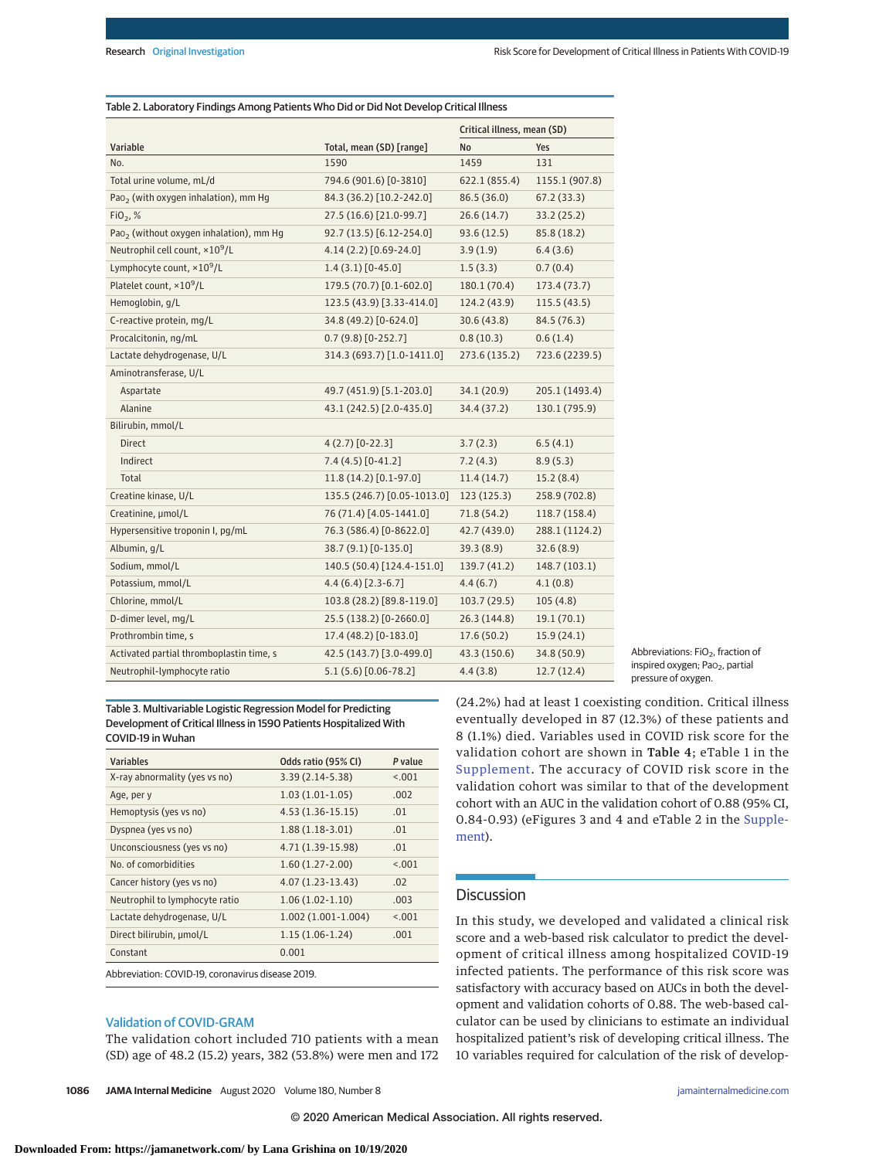|                                                     |                             | Critical illness, mean (SD) |                |
|-----------------------------------------------------|-----------------------------|-----------------------------|----------------|
| Variable                                            | Total, mean (SD) [range]    | No                          | Yes            |
| No.                                                 | 1590                        | 1459                        | 131            |
| Total urine volume, mL/d                            | 794.6 (901.6) [0-3810]      | 622.1 (855.4)               | 1155.1 (907.8) |
| Pao <sub>2</sub> (with oxygen inhalation), mm Hg    | 84.3 (36.2) [10.2-242.0]    | 86.5 (36.0)                 | 67.2(33.3)     |
| $FiO2$ , %                                          | 27.5 (16.6) [21.0-99.7]     | 26.6(14.7)                  | 33.2 (25.2)    |
| Pao <sub>2</sub> (without oxygen inhalation), mm Hg | 92.7 (13.5) [6.12-254.0]    | 93.6(12.5)                  | 85.8 (18.2)    |
| Neutrophil cell count, ×10 <sup>9</sup> /L          | 4.14 (2.2) [0.69-24.0]      | 3.9(1.9)                    | 6.4(3.6)       |
| Lymphocyte count, ×10 <sup>9</sup> /L               | $1.4(3.1)[0-45.0]$          | 1.5(3.3)                    | 0.7(0.4)       |
| Platelet count, ×10 <sup>9</sup> /L                 | 179.5 (70.7) [0.1-602.0]    | 180.1 (70.4)                | 173.4(73.7)    |
| Hemoglobin, g/L                                     | 123.5 (43.9) [3.33-414.0]   | 124.2 (43.9)                | 115.5(43.5)    |
| C-reactive protein, mg/L                            | 34.8 (49.2) [0-624.0]       | 30.6(43.8)                  | 84.5 (76.3)    |
| Procalcitonin, ng/mL                                | $0.7(9.8)[0-252.7]$         | 0.8(10.3)                   | 0.6(1.4)       |
| Lactate dehydrogenase, U/L                          | 314.3 (693.7) [1.0-1411.0]  | 273.6 (135.2)               | 723.6 (2239.5) |
| Aminotransferase, U/L                               |                             |                             |                |
| Aspartate                                           | 49.7 (451.9) [5.1-203.0]    | 34.1 (20.9)                 | 205.1 (1493.4) |
| Alanine                                             | 43.1 (242.5) [2.0-435.0]    | 34.4 (37.2)                 | 130.1 (795.9)  |
| Bilirubin, mmol/L                                   |                             |                             |                |
| <b>Direct</b>                                       | $4(2.7)$ [0-22.3]           | 3.7(2.3)                    | 6.5(4.1)       |
| Indirect                                            | $7.4(4.5)[0-41.2]$          | 7.2(4.3)                    | 8.9(5.3)       |
| Total                                               | 11.8 (14.2) [0.1-97.0]      | 11.4(14.7)                  | 15.2(8.4)      |
| Creatine kinase, U/L                                | 135.5 (246.7) [0.05-1013.0] | 123(125.3)                  | 258.9 (702.8)  |
| Creatinine, µmol/L                                  | 76 (71.4) [4.05-1441.0]     | 71.8(54.2)                  | 118.7 (158.4)  |
| Hypersensitive troponin I, pg/mL                    | 76.3 (586.4) [0-8622.0]     | 42.7 (439.0)                | 288.1 (1124.2) |
| Albumin, g/L                                        | 38.7 (9.1) [0-135.0]        | 39.3 (8.9)                  | 32.6(8.9)      |
| Sodium, mmol/L                                      | 140.5 (50.4) [124.4-151.0]  | 139.7 (41.2)                | 148.7 (103.1)  |
| Potassium, mmol/L                                   | $4.4(6.4)[2.3-6.7]$         | 4.4(6.7)                    | 4.1(0.8)       |
| Chlorine, mmol/L                                    | 103.8 (28.2) [89.8-119.0]   | 103.7(29.5)                 | 105(4.8)       |
| D-dimer level, mg/L                                 | 25.5 (138.2) [0-2660.0]     | 26.3 (144.8)                | 19.1(70.1)     |
| Prothrombin time, s                                 | 17.4 (48.2) [0-183.0]       | 17.6(50.2)                  | 15.9(24.1)     |
| Activated partial thromboplastin time, s            | 42.5 (143.7) [3.0-499.0]    | 43.3 (150.6)                | 34.8 (50.9)    |
| Neutrophil-lymphocyte ratio                         | 5.1 (5.6) [0.06-78.2]       | 4.4(3.8)                    | 12.7(12.4)     |

#### Table 2. Laboratory Findings Among Patients Who Did or Did Not Develop Critical Illness

Table 3. Multivariable Logistic Regression Model for Predicting Development of Critical Illness in 1590 Patients Hospitalized With COVID-19 in Wuhan

| <b>Variables</b>                               | Odds ratio (95% CI)  | P value |  |
|------------------------------------------------|----------------------|---------|--|
| X-ray abnormality (yes vs no)                  | $3.39(2.14-5.38)$    | < 0.001 |  |
| Age, per y                                     | $1.03(1.01-1.05)$    | .002    |  |
| Hemoptysis (yes vs no)                         | $4.53(1.36-15.15)$   | .01     |  |
| Dyspnea (yes vs no)                            | $1.88(1.18-3.01)$    | .01     |  |
| Unconsciousness (yes vs no)                    | 4.71 (1.39-15.98)    | .01     |  |
| No. of comorbidities                           | $1.60(1.27-2.00)$    | < 0.01  |  |
| Cancer history (yes vs no)                     | $4.07(1.23-13.43)$   | .02     |  |
| Neutrophil to lymphocyte ratio                 | $1.06(1.02-1.10)$    | .003    |  |
| Lactate dehydrogenase, U/L                     | $1.002(1.001-1.004)$ | < 0.001 |  |
| Direct bilirubin, µmol/L                       | $1.15(1.06-1.24)$    | .001    |  |
| Constant                                       | 0.001                |         |  |
| Abbroidation COVID 10 coronarisus disease 2010 |                      |         |  |

Abbreviation: COVID-19, coronavirus disease 2019.

## Validation of COVID-GRAM

The validation cohort included 710 patients with a mean (SD) age of 48.2 (15.2) years, 382 (53.8%) were men and 172

**1086 JAMA Internal Medicine** August 2020 Volume 180, Number 8 **(Reprinted)** [jamainternalmedicine.com](http://www.jamainternalmedicine.com?utm_campaign=articlePDF%26utm_medium=articlePDFlink%26utm_source=articlePDF%26utm_content=jamainternmed.2020.2033)

Abbreviations: FiO<sub>2</sub>, fraction of inspired oxygen; Pao<sub>2</sub>, partial pressure of oxygen.

(24.2%) had at least 1 coexisting condition. Critical illness eventually developed in 87 (12.3%) of these patients and 8 (1.1%) died. Variables used in COVID risk score for the validation cohort are shown in Table 4; eTable 1 in the [Supplement.](https://jamanetwork.com/journals/jama/fullarticle/10.1001/jamainternmed.2020.2033?utm_campaign=articlePDF%26utm_medium=articlePDFlink%26utm_source=articlePDF%26utm_content=jamainternmed.2020.2033) The accuracy of COVID risk score in the validation cohort was similar to that of the development cohort with an AUC in the validation cohort of 0.88 (95% CI, 0.84-0.93) (eFigures 3 and 4 and eTable 2 in the [Supple](https://jamanetwork.com/journals/jama/fullarticle/10.1001/jamainternmed.2020.2033?utm_campaign=articlePDF%26utm_medium=articlePDFlink%26utm_source=articlePDF%26utm_content=jamainternmed.2020.2033)[ment\)](https://jamanetwork.com/journals/jama/fullarticle/10.1001/jamainternmed.2020.2033?utm_campaign=articlePDF%26utm_medium=articlePDFlink%26utm_source=articlePDF%26utm_content=jamainternmed.2020.2033).

## **Discussion**

In this study, we developed and validated a clinical risk score and a web-based risk calculator to predict the development of critical illness among hospitalized COVID-19 infected patients. The performance of this risk score was satisfactory with accuracy based on AUCs in both the development and validation cohorts of 0.88. The web-based calculator can be used by clinicians to estimate an individual hospitalized patient's risk of developing critical illness. The 10 variables required for calculation of the risk of develop-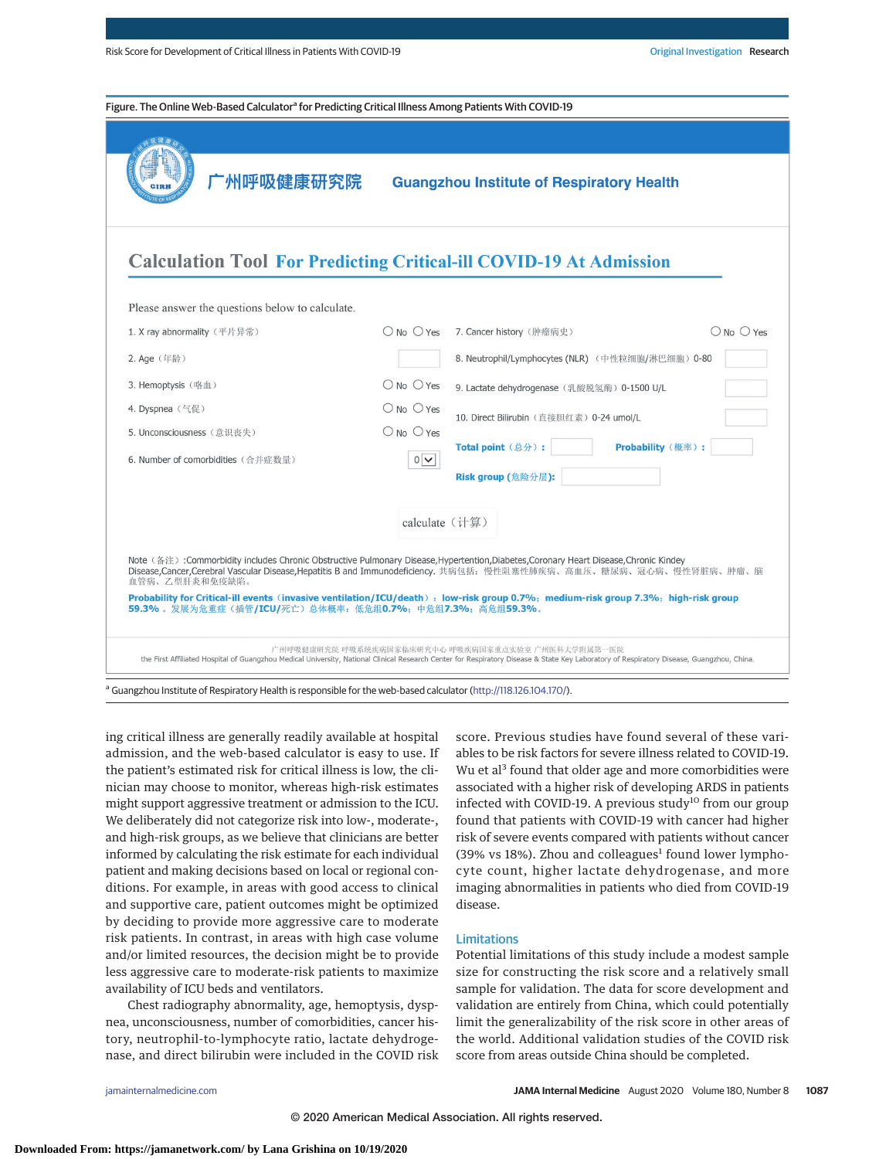|  |  | Risk Score for Development of Critical Illness in Patients With COVID-19 |
|--|--|--------------------------------------------------------------------------|
|--|--|--------------------------------------------------------------------------|

| Figure. The Online Web-Based Calculator <sup>a</sup> for Predicting Critical Illness Among Patients With COVID-19 |                |                                                                                                                                                                                                                                                            |  |
|-------------------------------------------------------------------------------------------------------------------|----------------|------------------------------------------------------------------------------------------------------------------------------------------------------------------------------------------------------------------------------------------------------------|--|
|                                                                                                                   |                |                                                                                                                                                                                                                                                            |  |
| 广州呼吸健康研究院                                                                                                         |                | <b>Guangzhou Institute of Respiratory Health</b>                                                                                                                                                                                                           |  |
| <b>Calculation Tool For Predicting Critical-ill COVID-19 At Admission</b>                                         |                |                                                                                                                                                                                                                                                            |  |
| Please answer the questions below to calculate.                                                                   |                |                                                                                                                                                                                                                                                            |  |
| 1. X ray abnormality (平片异常)                                                                                       | $O$ No $O$ Yes | 7. Cancer history (肿瘤病史)<br>$\bigcirc$ No $\bigcirc$ Yes                                                                                                                                                                                                   |  |
| 2. Age (年龄)                                                                                                       |                | 8. Neutrophil/Lymphocytes (NLR) (中性粒细胞/淋巴细胞) 0-80                                                                                                                                                                                                          |  |
| 3. Hemoptysis (咯血)                                                                                                | $O$ No $O$ Yes | 9. Lactate dehydrogenase (乳酸脱氢酶) 0-1500 U/L                                                                                                                                                                                                                |  |
| 4. Dyspnea (气促)                                                                                                   | $O$ No $O$ Yes | 10. Direct Bilirubin (直接胆红素) 0-24 umol/L                                                                                                                                                                                                                   |  |
| 5. Unconsciousness (意识丧失)                                                                                         | $O$ No $O$ Yes |                                                                                                                                                                                                                                                            |  |
| 6. Number of comorbidities (合并症数量)                                                                                | $0$ $\vee$     | Probability (概率):<br>Total point (总分):                                                                                                                                                                                                                     |  |
|                                                                                                                   |                | Risk group (危险分层):                                                                                                                                                                                                                                         |  |
|                                                                                                                   | calculate (计算) |                                                                                                                                                                                                                                                            |  |
| 血管病、乙型肝炎和免疫缺陷。                                                                                                    |                | Note (备注): Commorbidity includes Chronic Obstructive Pulmonary Disease, Hypertention, Diabetes, Coronary Heart Disease, Chronic Kindey<br>Disease,Cancer,Cerebral Vascular Disease,Hepatitis B and Immunodeficiency. 共病包括: 慢性阻塞性肺疾病、高血压、糖尿病、冠心病、慢性肾脏病、肿瘤、脑 |  |
| 59.3%。发展为危重症 (插管/ICU/死亡) 总体概率: 低危组0.7%; 中危组7.3%; 高危组59.3%。                                                        |                | Probability for Critical-ill events (invasive ventilation/ICU/death) : low-risk group 0.7%; medium-risk group 7.3%; high-risk group                                                                                                                        |  |
|                                                                                                                   |                | 广州呼吸健康研究院 呼吸系统疾病国家临床研究中心 呼吸疾病国家重点实验室 广州医科大学附属第一医院<br>the First Affiliated Hospital of Guangzhou Medical University, National Clinical Research Center for Respiratory Disease & State Key Laboratory of Respiratory Disease, Guangzhou, China.             |  |

<sup>a</sup> Guangzhou Institute of Respiratory Health is responsible for the web-based calculator [\(http://118.126.104.170/\)](http://118.126.104.170/).

ing critical illness are generally readily available at hospital admission, and the web-based calculator is easy to use. If the patient's estimated risk for critical illness is low, the clinician may choose to monitor, whereas high-risk estimates might support aggressive treatment or admission to the ICU. We deliberately did not categorize risk into low-, moderate-, and high-risk groups, as we believe that clinicians are better informed by calculating the risk estimate for each individual patient and making decisions based on local or regional conditions. For example, in areas with good access to clinical and supportive care, patient outcomes might be optimized by deciding to provide more aggressive care to moderate risk patients. In contrast, in areas with high case volume and/or limited resources, the decision might be to provide less aggressive care to moderate-risk patients to maximize availability of ICU beds and ventilators.

Chest radiography abnormality, age, hemoptysis, dyspnea, unconsciousness, number of comorbidities, cancer history, neutrophil-to-lymphocyte ratio, lactate dehydrogenase, and direct bilirubin were included in the COVID risk score. Previous studies have found several of these variables to be risk factors for severe illness related to COVID-19. Wu et al<sup>3</sup> found that older age and more comorbidities were associated with a higher risk of developing ARDS in patients infected with COVID-19. A previous study<sup>10</sup> from our group found that patients with COVID-19 with cancer had higher risk of severe events compared with patients without cancer (39% vs 18%). Zhou and colleagues<sup>1</sup> found lower lymphocyte count, higher lactate dehydrogenase, and more imaging abnormalities in patients who died from COVID-19 disease.

## Limitations

Potential limitations of this study include a modest sample size for constructing the risk score and a relatively small sample for validation. The data for score development and validation are entirely from China, which could potentially limit the generalizability of the risk score in other areas of the world. Additional validation studies of the COVID risk score from areas outside China should be completed.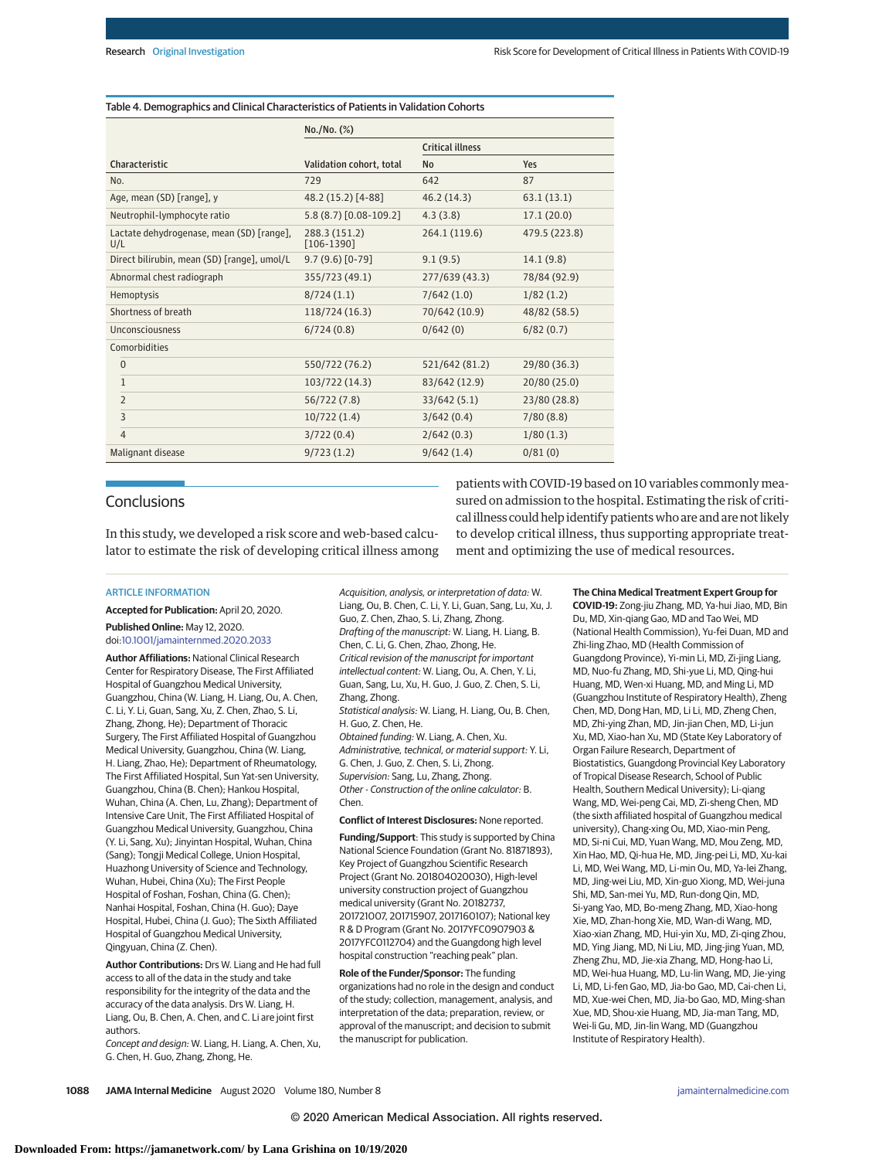|                                                  | No./No. (%)                   |                         |               |
|--------------------------------------------------|-------------------------------|-------------------------|---------------|
|                                                  |                               | <b>Critical illness</b> |               |
| Characteristic                                   | Validation cohort, total      | <b>No</b>               | Yes           |
| No.                                              | 729                           | 642                     | 87            |
| Age, mean (SD) [range], y                        | 48.2 (15.2) [4-88]            | 46.2(14.3)              | 63.1(13.1)    |
| Neutrophil-lymphocyte ratio                      | 5.8 (8.7) [0.08-109.2]        | 4.3(3.8)                | 17.1(20.0)    |
| Lactate dehydrogenase, mean (SD) [range],<br>U/L | 288.3 (151.2)<br>$[106-1390]$ | 264.1 (119.6)           | 479.5 (223.8) |
| Direct bilirubin, mean (SD) [range], umol/L      | $9.7(9.6)[0-79]$              | 9.1(9.5)                | 14.1(9.8)     |
| Abnormal chest radiograph                        | 355/723 (49.1)                | 277/639 (43.3)          | 78/84 (92.9)  |
| Hemoptysis                                       | 8/724(1.1)                    | 7/642(1.0)              | 1/82(1.2)     |
| Shortness of breath                              | 118/724 (16.3)                | 70/642 (10.9)           | 48/82 (58.5)  |
| <b>Unconsciousness</b>                           | 6/724(0.8)                    | 0/642(0)                | 6/82(0.7)     |
| Comorbidities                                    |                               |                         |               |
| $\mathbf 0$                                      | 550/722 (76.2)                | 521/642 (81.2)          | 29/80 (36.3)  |
| $\mathbf{1}$                                     | 103/722 (14.3)                | 83/642 (12.9)           | 20/80 (25.0)  |
| $\overline{2}$                                   | 56/722 (7.8)                  | 33/642(5.1)             | 23/80 (28.8)  |
| 3                                                | 10/722(1.4)                   | 3/642(0.4)              | 7/80(8.8)     |
| $\overline{4}$                                   | 3/722(0.4)                    | 2/642(0.3)              | 1/80(1.3)     |
| Malignant disease                                | 9/723(1.2)                    | 9/642(1.4)              | 0/81(0)       |

#### Table 4. Demographics and Clinical Characteristics of Patients in Validation Cohorts

#### **Conclusions**

In this study, we developed a risk score and web-based calculator to estimate the risk of developing critical illness among

#### ARTICLE INFORMATION

**Accepted for Publication:** April 20, 2020.

**Published Online:** May 12, 2020. doi[:10.1001/jamainternmed.2020.2033](https://jamanetwork.com/journals/jama/fullarticle/10.1001/jamainternmed.2020.2033?utm_campaign=articlePDF%26utm_medium=articlePDFlink%26utm_source=articlePDF%26utm_content=jamainternmed.2020.2033)

**Author Affiliations:** National Clinical Research Center for Respiratory Disease, The First Affiliated Hospital of Guangzhou Medical University, Guangzhou, China (W. Liang, H. Liang, Ou, A. Chen, C. Li, Y. Li, Guan, Sang, Xu, Z. Chen, Zhao, S. Li, Zhang, Zhong, He); Department of Thoracic Surgery, The First Affiliated Hospital of Guangzhou Medical University, Guangzhou, China (W. Liang, H. Liang, Zhao, He); Department of Rheumatology, The First Affiliated Hospital, Sun Yat-sen University, Guangzhou, China (B. Chen); Hankou Hospital, Wuhan, China (A. Chen, Lu, Zhang); Department of Intensive Care Unit, The First Affiliated Hospital of Guangzhou Medical University, Guangzhou, China (Y. Li, Sang, Xu); Jinyintan Hospital, Wuhan, China (Sang); Tongji Medical College, Union Hospital, Huazhong University of Science and Technology, Wuhan, Hubei, China (Xu); The First People Hospital of Foshan, Foshan, China (G. Chen); Nanhai Hospital, Foshan, China (H. Guo); Daye Hospital, Hubei, China (J. Guo); The Sixth Affiliated Hospital of Guangzhou Medical University, Qingyuan, China (Z. Chen).

**Author Contributions:** Drs W. Liang and He had full access to all of the data in the study and take responsibility for the integrity of the data and the accuracy of the data analysis. Drs W. Liang, H. Liang, Ou, B. Chen, A. Chen, and C. Li are joint first authors.

Concept and design: W. Liang, H. Liang, A. Chen, Xu, G. Chen, H. Guo, Zhang, Zhong, He.

Acquisition, analysis, or interpretation of data: W. Liang, Ou, B. Chen, C. Li, Y. Li, Guan, Sang, Lu, Xu, J. Guo, Z. Chen, Zhao, S. Li, Zhang, Zhong. Drafting of the manuscript: W. Liang, H. Liang, B. Chen, C. Li, G. Chen, Zhao, Zhong, He. Critical revision of the manuscript for important intellectual content: W. Liang, Ou, A. Chen, Y. Li, Guan, Sang, Lu, Xu, H. Guo, J. Guo, Z. Chen, S. Li, Zhang, Zhong. Statistical analysis: W. Liang, H. Liang, Ou, B. Chen, H. Guo, Z. Chen, He. Obtained funding: W. Liang, A. Chen, Xu. Administrative, technical, or material support: Y. Li, G. Chen, J. Guo, Z. Chen, S. Li, Zhong. Supervision: Sang, Lu, Zhang, Zhong. Other - Construction of the online calculator: B. Chen.

**Conflict of Interest Disclosures:** None reported.

**Funding/Support**: This study is supported by China National Science Foundation (Grant No. 81871893), Key Project of Guangzhou Scientific Research Project (Grant No. 201804020030), High-level university construction project of Guangzhou medical university (Grant No. 20182737, 201721007, 201715907, 2017160107); National key R & D Program (Grant No. 2017YFC0907903 & 2017YFC0112704) and the Guangdong high level hospital construction "reaching peak" plan.

**Role of the Funder/Sponsor:** The funding organizations had no role in the design and conduct of the study; collection, management, analysis, and interpretation of the data; preparation, review, or approval of the manuscript; and decision to submit the manuscript for publication.

patients with COVID-19 based on 10 variables commonly measured on admission to the hospital. Estimating the risk of critical illness could help identify patientswho are and are not likely to develop critical illness, thus supporting appropriate treatment and optimizing the use of medical resources.

# **The China Medical Treatment Expert Group for**

**COVID-19:** Zong-jiu Zhang, MD, Ya-hui Jiao, MD, Bin Du, MD, Xin-qiang Gao, MD and Tao Wei, MD (National Health Commission), Yu-fei Duan, MD and Zhi-ling Zhao, MD (Health Commission of Guangdong Province), Yi-min Li, MD, Zi-jing Liang, MD, Nuo-fu Zhang, MD, Shi-yue Li, MD, Qing-hui Huang, MD, Wen-xi Huang, MD, and Ming Li, MD (Guangzhou Institute of Respiratory Health), Zheng Chen, MD, Dong Han, MD, Li Li, MD, Zheng Chen, MD, Zhi-ying Zhan, MD, Jin-jian Chen, MD, Li-jun Xu, MD, Xiao-han Xu, MD (State Key Laboratory of Organ Failure Research, Department of Biostatistics, Guangdong Provincial Key Laboratory of Tropical Disease Research, School of Public Health, Southern Medical University); Li-qiang Wang, MD, Wei-peng Cai, MD, Zi-sheng Chen, MD (the sixth affiliated hospital of Guangzhou medical university), Chang-xing Ou, MD, Xiao-min Peng, MD, Si-ni Cui, MD, Yuan Wang, MD, Mou Zeng, MD, Xin Hao, MD, Qi-hua He, MD, Jing-pei Li, MD, Xu-kai Li, MD, Wei Wang, MD, Li-min Ou, MD, Ya-lei Zhang, MD, Jing-wei Liu, MD, Xin-guo Xiong, MD, Wei-juna Shi, MD, San-mei Yu, MD, Run-dong Qin, MD, Si-yang Yao, MD, Bo-meng Zhang, MD, Xiao-hong Xie, MD, Zhan-hong Xie, MD, Wan-di Wang, MD, Xiao-xian Zhang, MD, Hui-yin Xu, MD, Zi-qing Zhou, MD, Ying Jiang, MD, Ni Liu, MD, Jing-jing Yuan, MD, Zheng Zhu, MD, Jie-xia Zhang, MD, Hong-hao Li, MD, Wei-hua Huang, MD, Lu-lin Wang, MD, Jie-ying Li, MD, Li-fen Gao, MD, Jia-bo Gao, MD, Cai-chen Li, MD, Xue-wei Chen, MD, Jia-bo Gao, MD, Ming-shan Xue, MD, Shou-xie Huang, MD, Jia-man Tang, MD, Wei-li Gu, MD, Jin-lin Wang, MD (Guangzhou Institute of Respiratory Health).

**1088 JAMA Internal Medicine** August 2020 Volume 180, Number 8 **(Reprinted)** [jamainternalmedicine.com](http://www.jamainternalmedicine.com?utm_campaign=articlePDF%26utm_medium=articlePDFlink%26utm_source=articlePDF%26utm_content=jamainternmed.2020.2033)